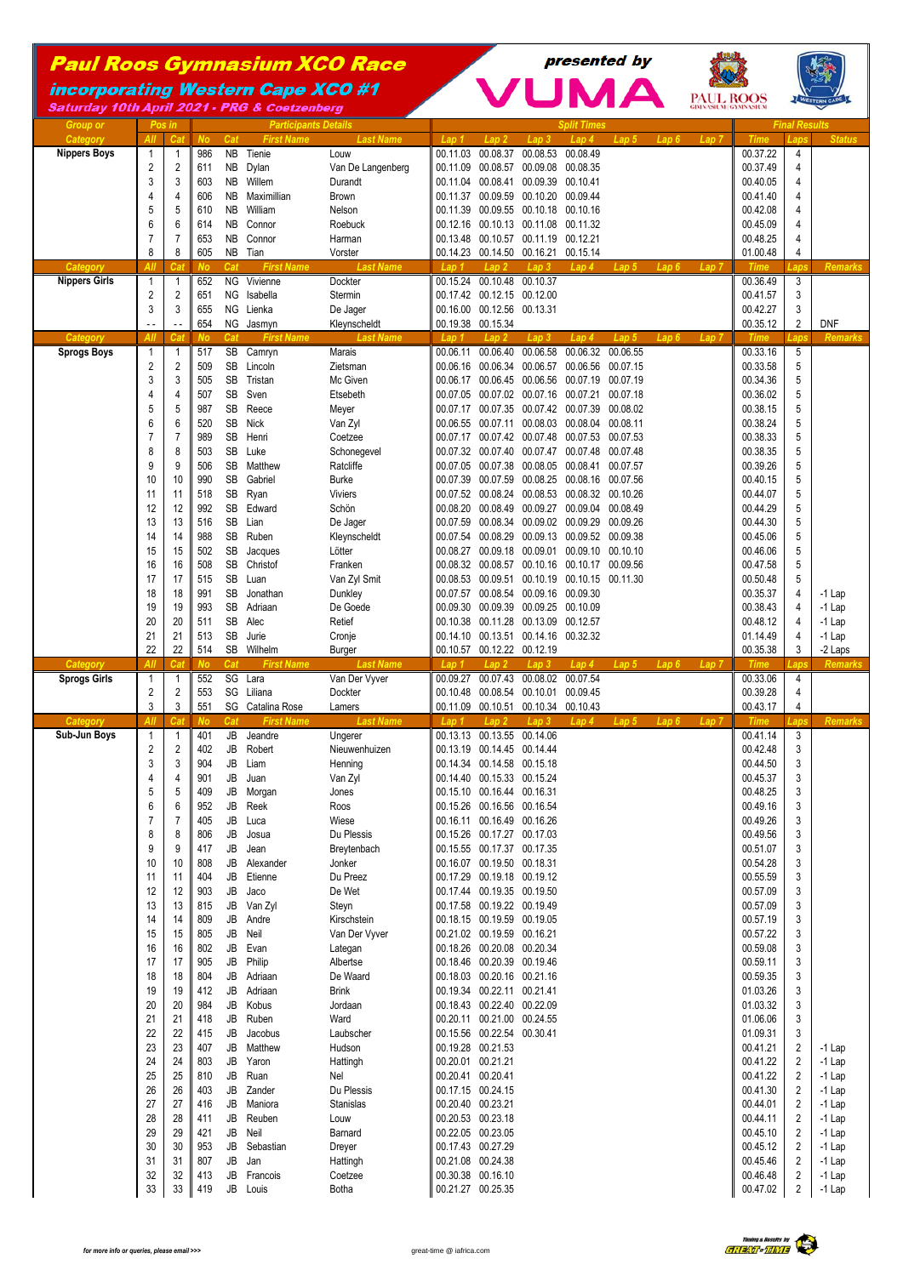## Paul Roos Gymnasium XCO Race

**incorporating Western Cape XCO #1** Saturday 10th April 2021 - PRG & Coetzenberg



presented by

**PAUL ROOS** 

**VUMA** 

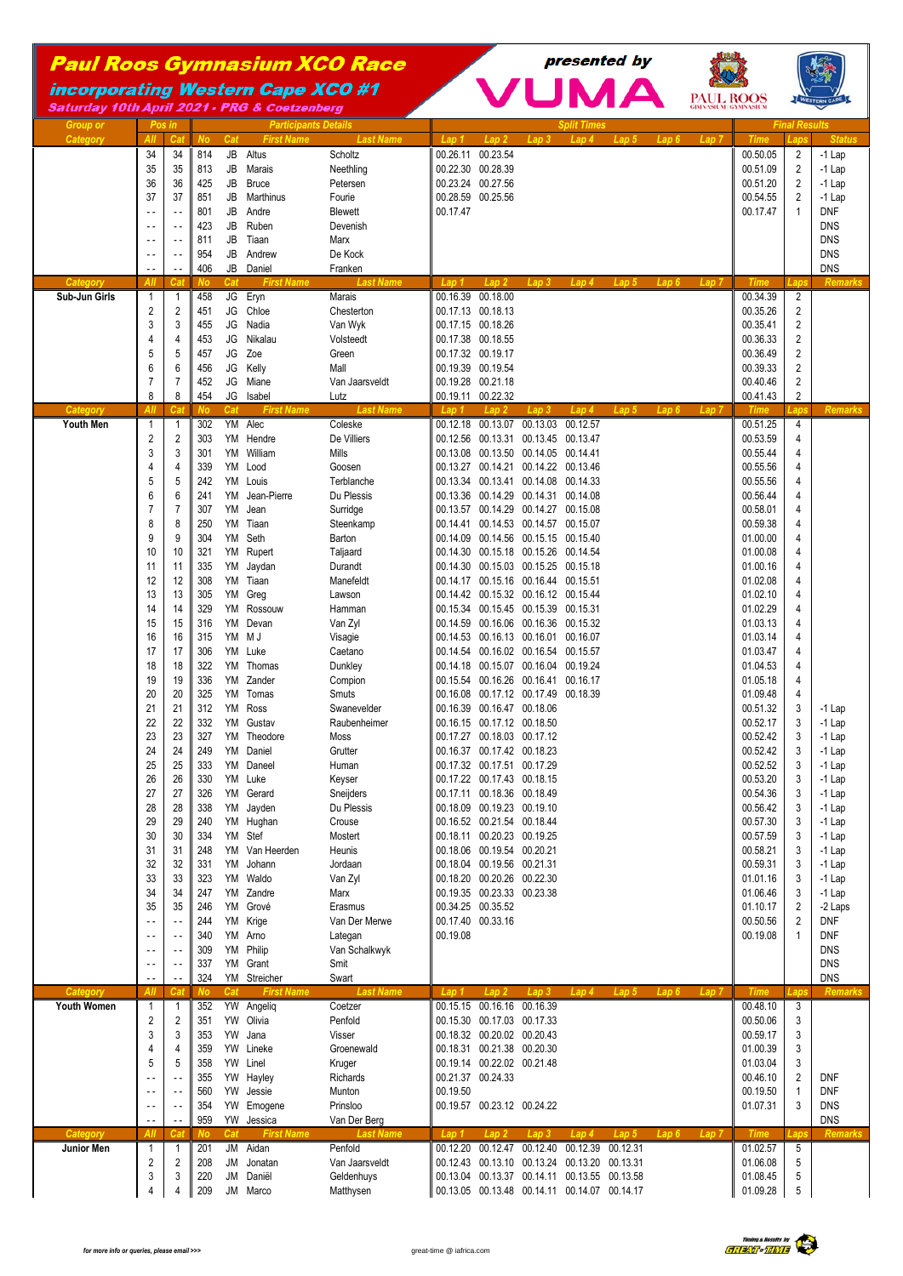## Paul Roos Gymnasium XCO Race

**incorporating Western Cape XCO #1** Saturday 10th April 2021 - PRG & Coetzenberg





*Group or Pos in Participants Details Split Times Final Results Category All Cat No Cat First Name Last Name Lap 1 Lap 2 Lap 3 Lap 4 Lap 5 Lap 6 Lap 7 Time Laps Status* 34 34 814 JB Altus Scholtz 00.26.11 00.23.54 00.50.05 2 -1 Lap 35 35 813 JB Marais Neethling 00.22.30 00.28.39 00.51.09 2 -1 Lap 36 36 425 JB Bruce Petersen 00.23.24 00.27.56 00.51.20 2 -1 Lap 37 37 851 JB Marthinus Fourie 00.28.59 00.25.56 00.54.55 2 -1 Lap - - - - 801 JB Andre Blewett 00.17.47 00.17.47 1 DNF - - - - 423 JB Ruben Devenish DNS - - - - 811 JB Tiaan Marx DNS - - - - 954 JB Andrew De Kock DNS - - | - || 406 JB Daniel || || || || DNS *Category All Cat No Cat First Name Last Name Lap 1 Lap 2 Lap 3 Lap 4 Lap 5 Lap 6 Lap 7 Time Laps Remarks* **Sub-Jun Girls** 1 1 458 JG Eryn Marais 00.16.39 00.18.00 00.34.39 2 2 2 451 JG Chloe Chesterton 1 00.17.13 00.18.13 00.18.13 00.35.26 2 3 3 455 JG Nadia Van Wyk 00.17.15 00.18.26 00.35.41 2 4 4 453 JG Nikalau Volsteedt 00.17.38 00.18.55 00.36.33 2 5 5 457 JG Zoe Green 00.17.32 00.19.17 00.36.49 2 6 6 456 JG Kelly Mall 00.19.39 00.19.54 00.39.33 2 7 7 452 JG Miane Van Jaarsveldt 00.19.28 00.21.18 00.40.46 2 8 8 454 JG Isabel Lutz 100.19.11 00.22.32 200.11 200.41.43 *Category All Cat No Cat First Name Last Name Lap 1 Lap 2 Lap 3 Lap 4 Lap 5 Lap 6 Lap 7 Time Laps Remarks* **Youth Men** 1 1 302 YM Alec Coleske 00.12.18 00.13.07 00.13.03 00.12.57 00.51.25 4<br>2 2 303 YM Hendre De Villiers 00.12.56 00.13.31 00.13.45 00.13.47 00.53.59 4 2 2 303 YM Hendre De Villiers 100.12.56 00.13.31 00.13.45 00.13.47 3 3 301 YM William Mills 100.13.08 00.13.50 00.14.41 1.00 55.44 4.41 1.00 55.44 4.41 4 4 339 YM Lood Goosen 60.13.27 00.14.21 00.14.22 00.13.46 00.55.56 4 5 5 242 YM Louis Terblanche 00.13.34 00.13.41 00.14.08 00.14.33 00.55.56 4 6 6 241 YM Jean-Pierre Du Plessis 00.13.36 00.14.29 00.14.31 00.14.08 00.56.44 4 1 7 307 YM Jean Surridge 3 Surridge 100.13.57 00.14.29 00.14.27 00.15.08 00.58.01 4<br>8 8 250 YM Tiaan Steenkamp 100.14.41 00.14.53 00.14.57 00.15.07 8 8 250 YM Tiaan Steenkamp 00.14.41 00.14.53 00.14.57 00.15.07 00.59.38 4 9 9 9 304 YM Seth Barton 100.14.09 00.14.56 00.15.15 00.15.40 00.15.40 00.15.40 10 10 321 YM Rupert Taljaard 00.14.30 00.15.18 00.15.26 00.14.54 01.00.08 4 11 | 11 || 335 YM Jaydan Durandt || 00.14.30 00.15.03 00.15.25 00.15.18 || 01.00.16 || 4 12 | 12 | 308 YM Tiaan Manefeldt | 00.14.17 00.15.16 00.16.44 00.15.51 | 01.02.08 | 4 13 13 305 YM Greg Lawson 14 2 00.14.42 00.15.32 00.16.12 00.15.44 01.02.10 4<br>14 14 329 YM Rossouw Hamman 100.15.34 00.15.34 00.15.39 00.15.33 00.15.31 14 14 329 YM Rossouw Hamman 00.15.34 00.15.45 00.15.39 00.15.31 01.02.29 4 15 15 316 YM Devan Van Zyl 00.14.59 00.16.06 00.16.36 00.15.32 01.03.13 4 16 315 YM M J Visagie 00.14.53 00.16.13 00.16.01 00.16.07 00.16.07 01.03.14 4 17 17 306 YM Luke Caetano 00.14.54 00.16.02 00.16.54 00.15.57 01.03.47 4 18 18 322 YM Thomas Dunkley 00.14.18 00.15.07 00.16.04 00.19.24 01.04.53 4 19 | 19 | 336 YM Zander Compion | 00.15.54 00.16.26 00.16.41 00.16.17 | 01.05.18 | 4 20 20 325 YM Tomas Smuts 80.0.16.08 00.17.12 00.17.49 00.18.39 00.18.39 21 21 312 YM Ross Swanevelder 00.16.39 00.16.47 00.18.06 00.51.32 3 -1 Lap 22 22 332 YM Gustav Raubenheimer 00.16.15 00.17.12 00.18.50 00.52.17 3 -1 Lap<br>23 327 YM Theodore Moss 00.17.27 00.18.03 00.17.12 00.17.12 00.52.42 3 -1 Lap 23 3 37 YM Theodore Moss 00.17.27 00.18.03 00.17.12 00.52.42 3 -1 Lap 24 24 24 249 YM Daniel Grutter 100.16.37 00.17.42 00.18.23 00.18.23 00.52.42 3 -1 Lap 25 25 333 YM Daneel Human 00.17.32 00.17.51 00.17.29 00.52.52 3 -1 Lap 26 26 330 YM Luke Keyser 00.17.22 00.17.43 00.18.15 00.53.20 3 -1 Lap 27 27 27 326 YM Gerard Sneijders 100.17.11 00.18.36 00.18.49 100.54.36 00.54.36 3 -1 Lap 28 28 38 YM Jayden Du Plessis 00.18.09 00.19.23 00.19.10 00.19.10 00.56.42 3 -1 Lap<br>29 29 240 YM Hughan Crouse 00.16.52 00.21.54 00.18.44 00.18 29 29 29 29 20 YM Hughan Crouse 100.16.52 00.21.54 00.18.44 00.52 00.21.54 00.57.30 3 -1 Lap 30 30 334 YM Stef Mostert 00.18.11 00.20.23 00.19.25 00.57.59 3 -1 Lap 31 31 248 YM Van Heerden Heunis 00.18.06 00.19.54 00.20.21 00.58.21 3 -1 Lap 32 32 331 YM Johann Jordaan 00.18.04 00.19.56 00.21.31 00.59.31 3 -1 Lap 33 33 323 YM Waldo Van Zyl 00.18.20 00.20.26 00.22.30 01.01.16 3 -1 Lap 34 34 247 YM Zandre Marx 00.19.35 00.23.33 00.23.38 00.23.38 00.23.38 00.23.38 00.23.38 00.23.38 01.06.46 3 -1 Lap 35 35 246 YM Grové Erasmus 00.34.25 00.35.52 01.10.17 2 -2 Laps - - - - 244 YM Krige Van Der Merwe 00.17.40 00.33.16 00.50.56 2 DNF



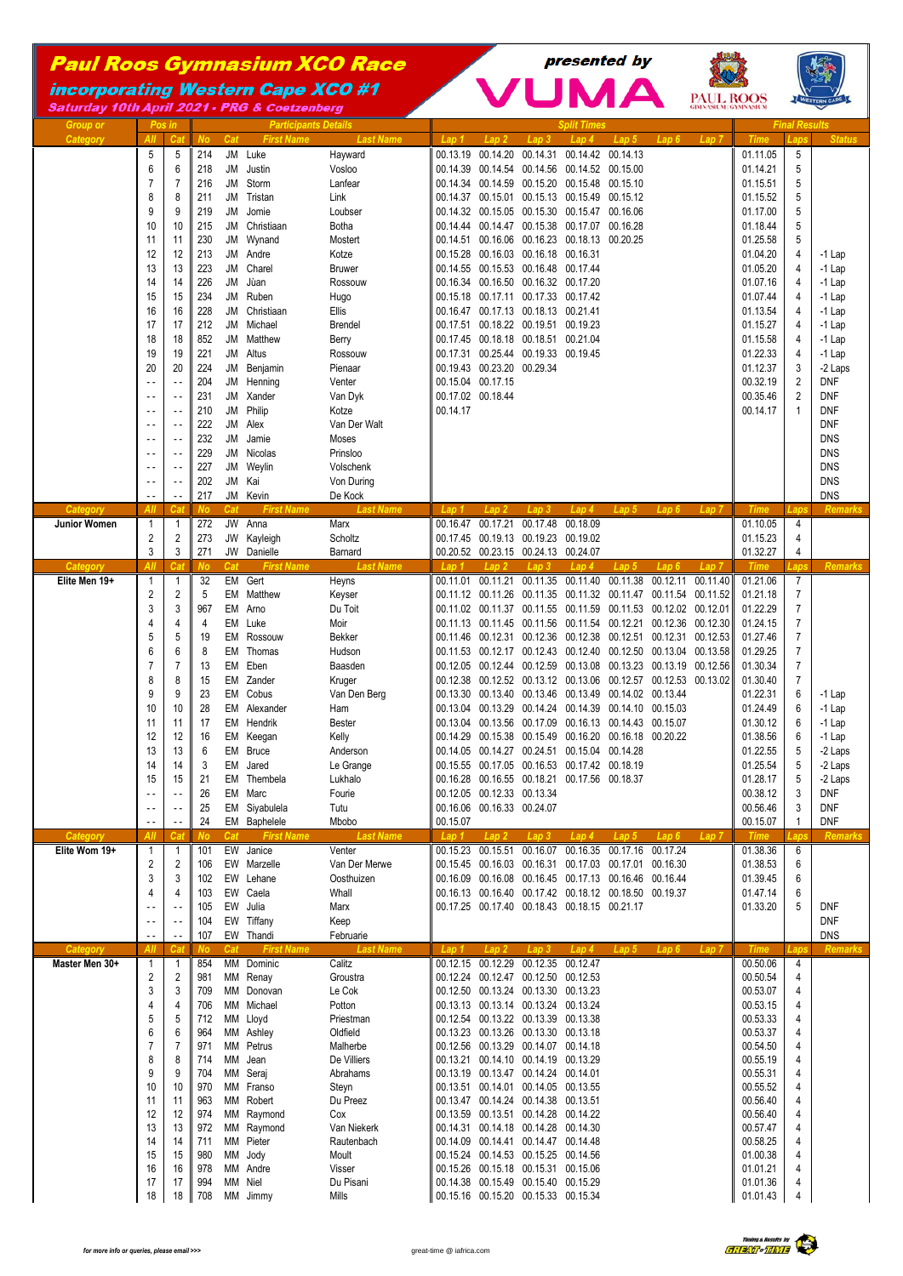## Paul Roos Gymnasium XCO Race

**incorporating Western Cape XCO #1** 



presented by

6 6 964 MM Ashley Oldfield 00.13.23 00.13.26 00.13.30 00.13.18 00.53.37 4 7 7 971 MM Petrus Malherbe 00.12.56 00.13.29 00.14.07 00.14.18 00.54.50 4 8 8 714 MM Jean De Villiers 00.13.21 00.14.10 00.14.19 00.13.29 00.55.19 4 9 | 9 || 704 MM Seraj Abrahams || 00.13.19 00.13.47 00.14.24 00.14.01 | 00.55.31 | 4 10 | 10 || 970 MM Franso Stevn || 00.13.51 00.14.01 00.14.05 00.13.55 | 00.55.52 | 4 11 | 11 | 963 MM Robert Du Preez | 00.13.47 00.14.24 00.14.38 00.13.51 | 00.56.40 | 4 12 974 MM Raymond Cox 00.13.59 00.13.51 00.14.28 00.14.22 00.56.40 00.56.40 13 | 13 | 972 MM Raymond Van Niekerk | 00.14.31 00.14.18 00.14.28 00.14.30 00.14.30 14 | 14 | 711 MM Pieter Rautenbach | 00.14.09 00.14.41 00.14.47 00.14.48 | 00.58.25 | 4 15 15 980 MM Jody Moult 00.15.24 00.14.53 00.15.25 00.14.56 01.00.38 4 16 16 978 MM Andre Visser 00.15.26 00.15.18 00.15.31 00.15.06 01.01.21 4 17 | 17 | 994 MM Niel Du Pisani | 00.14.38 00.15.49 00.15.40 00.15.29 | 01.01.36 | 4 18 18 708 MM Jimmy Mills 00.15.16 00.15.20 00.15.33 00.15.34 01.01.43 4